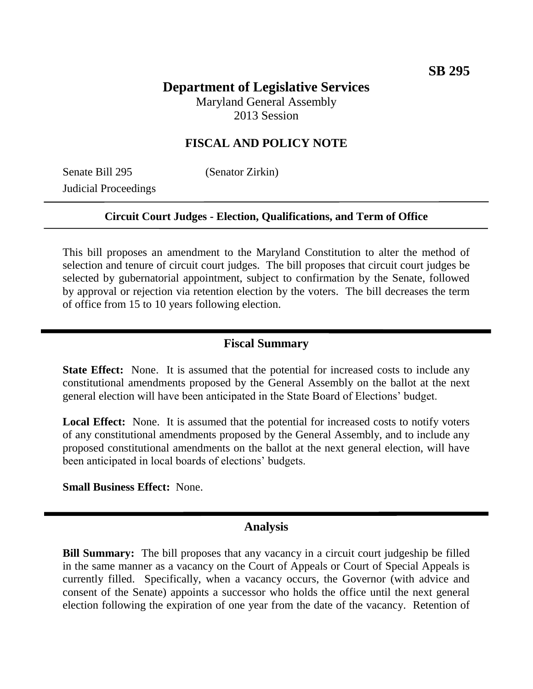# **Department of Legislative Services**

Maryland General Assembly 2013 Session

## **FISCAL AND POLICY NOTE**

Senate Bill 295 (Senator Zirkin) Judicial Proceedings

#### **Circuit Court Judges - Election, Qualifications, and Term of Office**

This bill proposes an amendment to the Maryland Constitution to alter the method of selection and tenure of circuit court judges. The bill proposes that circuit court judges be selected by gubernatorial appointment, subject to confirmation by the Senate, followed by approval or rejection via retention election by the voters. The bill decreases the term of office from 15 to 10 years following election.

### **Fiscal Summary**

**State Effect:** None. It is assumed that the potential for increased costs to include any constitutional amendments proposed by the General Assembly on the ballot at the next general election will have been anticipated in the State Board of Elections' budget.

**Local Effect:** None. It is assumed that the potential for increased costs to notify voters of any constitutional amendments proposed by the General Assembly, and to include any proposed constitutional amendments on the ballot at the next general election, will have been anticipated in local boards of elections' budgets.

**Small Business Effect:** None.

#### **Analysis**

**Bill Summary:** The bill proposes that any vacancy in a circuit court judgeship be filled in the same manner as a vacancy on the Court of Appeals or Court of Special Appeals is currently filled. Specifically, when a vacancy occurs, the Governor (with advice and consent of the Senate) appoints a successor who holds the office until the next general election following the expiration of one year from the date of the vacancy. Retention of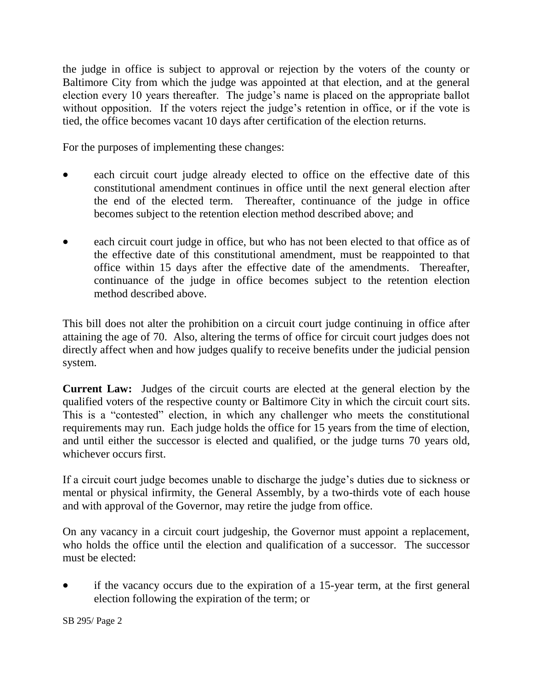the judge in office is subject to approval or rejection by the voters of the county or Baltimore City from which the judge was appointed at that election, and at the general election every 10 years thereafter. The judge's name is placed on the appropriate ballot without opposition. If the voters reject the judge's retention in office, or if the vote is tied, the office becomes vacant 10 days after certification of the election returns.

For the purposes of implementing these changes:

- each circuit court judge already elected to office on the effective date of this constitutional amendment continues in office until the next general election after the end of the elected term. Thereafter, continuance of the judge in office becomes subject to the retention election method described above; and
- each circuit court judge in office, but who has not been elected to that office as of the effective date of this constitutional amendment, must be reappointed to that office within 15 days after the effective date of the amendments. Thereafter, continuance of the judge in office becomes subject to the retention election method described above.

This bill does not alter the prohibition on a circuit court judge continuing in office after attaining the age of 70. Also, altering the terms of office for circuit court judges does not directly affect when and how judges qualify to receive benefits under the judicial pension system.

**Current Law:** Judges of the circuit courts are elected at the general election by the qualified voters of the respective county or Baltimore City in which the circuit court sits. This is a "contested" election, in which any challenger who meets the constitutional requirements may run. Each judge holds the office for 15 years from the time of election, and until either the successor is elected and qualified, or the judge turns 70 years old, whichever occurs first.

If a circuit court judge becomes unable to discharge the judge's duties due to sickness or mental or physical infirmity, the General Assembly, by a two-thirds vote of each house and with approval of the Governor, may retire the judge from office.

On any vacancy in a circuit court judgeship, the Governor must appoint a replacement, who holds the office until the election and qualification of a successor. The successor must be elected:

 if the vacancy occurs due to the expiration of a 15-year term, at the first general election following the expiration of the term; or

SB 295/ Page 2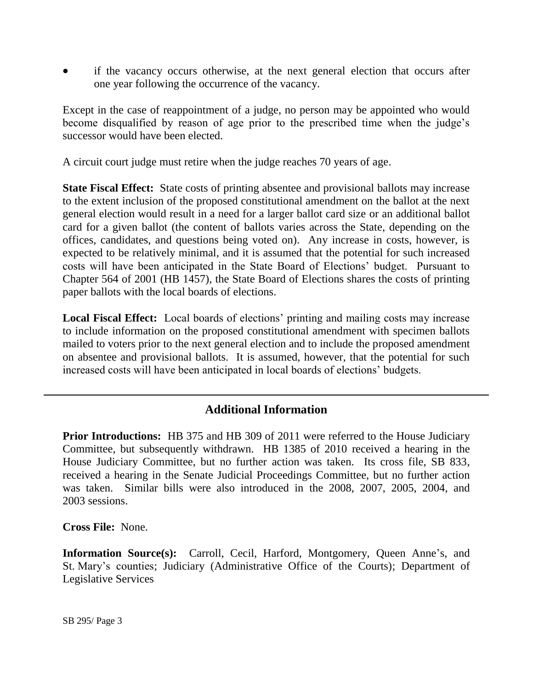if the vacancy occurs otherwise, at the next general election that occurs after one year following the occurrence of the vacancy.

Except in the case of reappointment of a judge, no person may be appointed who would become disqualified by reason of age prior to the prescribed time when the judge's successor would have been elected.

A circuit court judge must retire when the judge reaches 70 years of age.

**State Fiscal Effect:** State costs of printing absentee and provisional ballots may increase to the extent inclusion of the proposed constitutional amendment on the ballot at the next general election would result in a need for a larger ballot card size or an additional ballot card for a given ballot (the content of ballots varies across the State, depending on the offices, candidates, and questions being voted on). Any increase in costs, however, is expected to be relatively minimal, and it is assumed that the potential for such increased costs will have been anticipated in the State Board of Elections' budget. Pursuant to Chapter 564 of 2001 (HB 1457), the State Board of Elections shares the costs of printing paper ballots with the local boards of elections.

**Local Fiscal Effect:** Local boards of elections' printing and mailing costs may increase to include information on the proposed constitutional amendment with specimen ballots mailed to voters prior to the next general election and to include the proposed amendment on absentee and provisional ballots. It is assumed, however, that the potential for such increased costs will have been anticipated in local boards of elections' budgets.

## **Additional Information**

**Prior Introductions:** HB 375 and HB 309 of 2011 were referred to the House Judiciary Committee, but subsequently withdrawn. HB 1385 of 2010 received a hearing in the House Judiciary Committee, but no further action was taken. Its cross file, SB 833, received a hearing in the Senate Judicial Proceedings Committee, but no further action was taken. Similar bills were also introduced in the 2008, 2007, 2005, 2004, and 2003 sessions.

**Cross File:** None.

**Information Source(s):** Carroll, Cecil, Harford, Montgomery, Queen Anne's, and St. Mary's counties; Judiciary (Administrative Office of the Courts); Department of Legislative Services